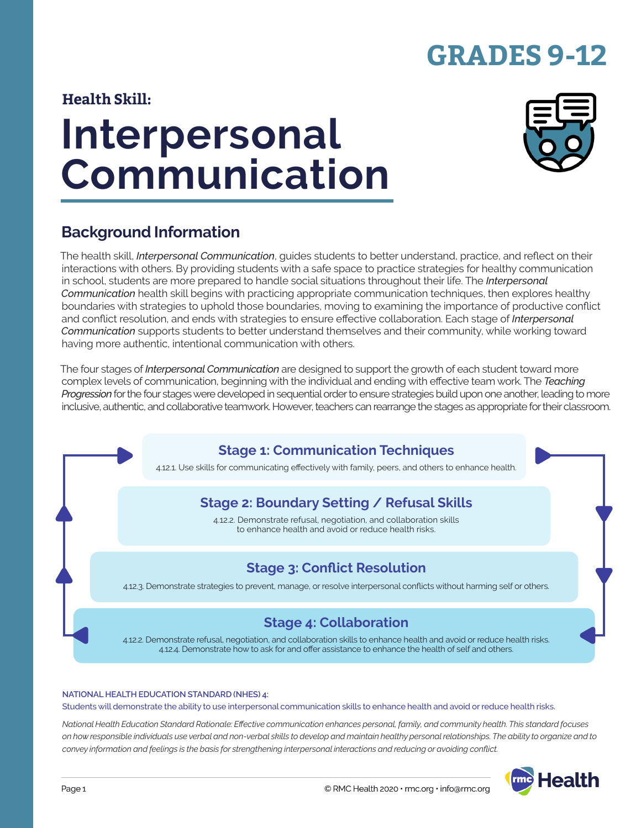# **GRADES 9-12**

#### **Health Skill:**

# **Interpersonal Communication**



## **Background Information**

The health skill, *Interpersonal Communication*, guides students to better understand, practice, and reflect on their interactions with others. By providing students with a safe space to practice strategies for healthy communication in school, students are more prepared to handle social situations throughout their life. The *Interpersonal Communication* health skill begins with practicing appropriate communication techniques, then explores healthy boundaries with strategies to uphold those boundaries, moving to examining the importance of productive conflict and conflict resolution, and ends with strategies to ensure effective collaboration. Each stage of *Interpersonal Communication* supports students to better understand themselves and their community, while working toward having more authentic, intentional communication with others.

The four stages of *Interpersonal Communication* are designed to support the growth of each student toward more complex levels of communication, beginning with the individual and ending with effective team work. The *Teaching Progression* for the four stages were developed in sequential order to ensure strategies build upon one another, leading to more inclusive, authentic, and collaborative teamwork. However, teachers can rearrange the stages as appropriate for their classroom.

## **Stage 1: Communication Techniques**

4.12.1. Use skills for communicating effectively with family, peers, and others to enhance health.

## **Stage 2: Boundary Setting / Refusal Skills**

4.12.2. Demonstrate refusal, negotiation, and collaboration skills to enhance health and avoid or reduce health risks.

## **Stage 3: Conflict Resolution**

4.12.3. Demonstrate strategies to prevent, manage, or resolve interpersonal conflicts without harming self or others.

#### **Stage 4: Collaboration**

4.12.2. Demonstrate refusal, negotiation, and collaboration skills to enhance health and avoid or reduce health risks. 4.12.4. Demonstrate how to ask for and offer assistance to enhance the health of self and others.

#### **NATIONAL HEALTH EDUCATION STANDARD (NHES) 4:**

Students will demonstrate the ability to use interpersonal communication skills to enhance health and avoid or reduce health risks.

*National Health Education Standard Rationale: Effective communication enhances personal, family, and community health. This standard focuses on how responsible individuals use verbal and non-verbal skills to develop and maintain healthy personal relationships. The ability to organize and to convey information and feelings is the basis for strengthening interpersonal interactions and reducing or avoiding conflict.*

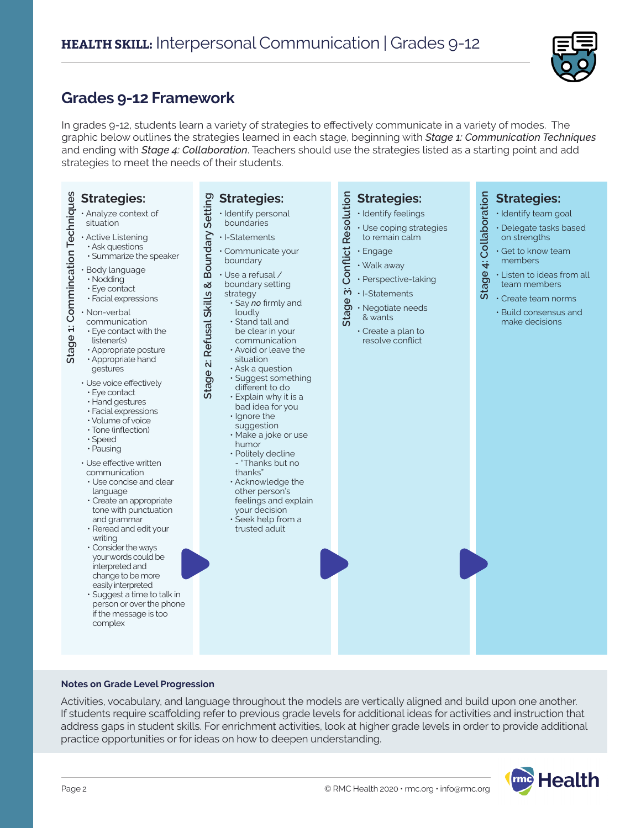

## **Grades 9-12 Framework**

In grades 9-12, students learn a variety of strategies to effectively communicate in a variety of modes. The graphic below outlines the strategies learned in each stage, beginning with *Stage 1: Communication Techniques* and ending with *Stage 4: Collaboration*. Teachers should use the strategies listed as a starting point and add strategies to meet the needs of their students.

| Stage 1: Commincation Techniques<br><b>Strategies:</b><br>· Analyze context of<br>situation<br>· Active Listening<br>· Ask questions<br>· Summarize the speaker<br>· Body language<br>· Nodding                                                                                                                                                                                                                                                                                                                                                                                                                                                                                                                                                   | Boundary Setting<br><b>Strategies:</b><br>· Identify personal<br>boundaries<br>· I-Statements<br>· Communicate your<br>boundary<br>$\cdot$ Use a refusal /                                                                                                                                                                                                                                                                                                                                                                                                                    | <b>Conflict Resolution</b><br><b>Strategies:</b><br>· Identify feelings<br>· Use coping strategies<br>to remain calm<br>· Engage<br>· Walk away<br>· Perspective-taking | Stage 4: Collaboration<br><b>Strategies:</b><br>· Identify team goal<br>· Delegate tasks based<br>on strengths<br>· Get to know team<br>members<br>· Listen to ideas from all |
|---------------------------------------------------------------------------------------------------------------------------------------------------------------------------------------------------------------------------------------------------------------------------------------------------------------------------------------------------------------------------------------------------------------------------------------------------------------------------------------------------------------------------------------------------------------------------------------------------------------------------------------------------------------------------------------------------------------------------------------------------|-------------------------------------------------------------------------------------------------------------------------------------------------------------------------------------------------------------------------------------------------------------------------------------------------------------------------------------------------------------------------------------------------------------------------------------------------------------------------------------------------------------------------------------------------------------------------------|-------------------------------------------------------------------------------------------------------------------------------------------------------------------------|-------------------------------------------------------------------------------------------------------------------------------------------------------------------------------|
| · Eye contact<br>· Facial expressions<br>· Non-verbal<br>communication<br>$\cdot$ Eye contact with the<br>listener(s)<br>· Appropriate posture<br>• Appropriate hand<br>gestures<br>· Use voice effectively<br>· Eye contact<br>· Hand gestures<br>· Facial expressions<br>· Volume of voice<br>· Tone (inflection)<br>· Speed<br>· Pausing<br>· Use effective written<br>communication<br>• Use concise and clear<br>language<br>· Create an appropriate<br>tone with punctuation<br>and grammar<br>· Reread and edit your<br>writing<br>• Consider the ways<br>your words could be<br>interpreted and<br>change to be more<br>easily interpreted<br>· Suggest a time to talk in<br>person or over the phone<br>if the message is too<br>complex | ×<br>boundary setting<br><b>Refusal Skills</b><br>strategy<br>$\cdot$ Say no firmly and<br>loudly<br>$\cdot$ Stand tall and<br>be clear in your<br>communication<br>• Avoid or leave the<br>situation<br>Stage 2:<br>· Ask a question<br>· Suggest something<br>different to do<br>· Explain why it is a<br>bad idea for you<br>· Ignore the<br>suggestion<br>· Make a joke or use<br>humor<br>· Politely decline<br>- "Thanks but no<br>thanks"<br>· Acknowledge the<br>other person's<br>feelings and explain<br>your decision<br>$\cdot$ Seek help from a<br>trusted adult | $\ddot{\mathbf{c}}$<br>· I-Statements<br>Stage<br>· Negotiate needs<br>& wants<br>$\cdot$ Create a plan to<br>resolve conflict                                          | team members<br>· Create team norms<br>• Build consensus and<br>make decisions                                                                                                |

#### **Notes on Grade Level Progression**

Activities, vocabulary, and language throughout the models are vertically aligned and build upon one another. If students require scaffolding refer to previous grade levels for additional ideas for activities and instruction that address gaps in student skills. For enrichment activities, look at higher grade levels in order to provide additional practice opportunities or for ideas on how to deepen understanding.

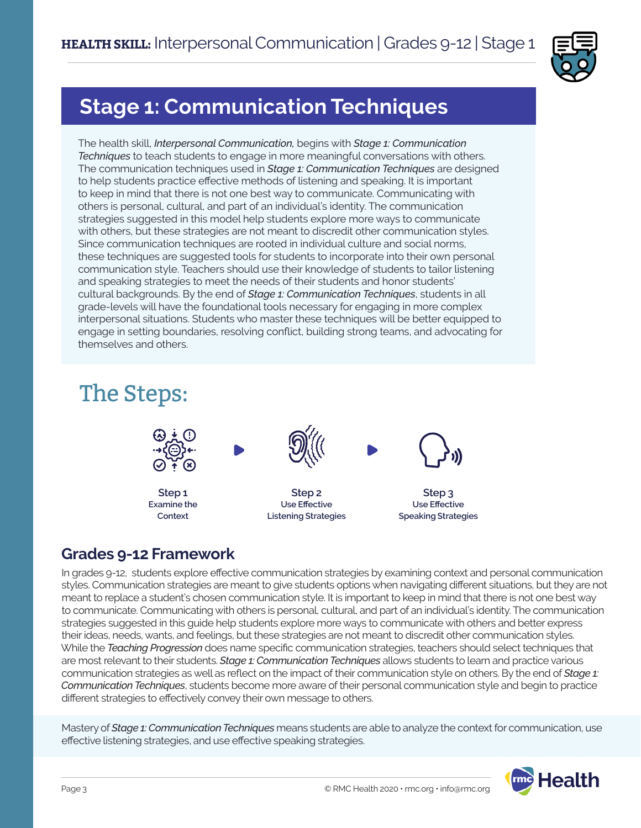

## **Stage 1: Communication Techniques**

The health skill, *Interpersonal Communication,* begins with *Stage 1: Communication Techniques* to teach students to engage in more meaningful conversations with others. The communication techniques used in *Stage 1: Communication Techniques* are designed to help students practice effective methods of listening and speaking. It is important to keep in mind that there is not one best way to communicate. Communicating with others is personal, cultural, and part of an individual's identity. The communication strategies suggested in this model help students explore more ways to communicate with others, but these strategies are not meant to discredit other communication styles. Since communication techniques are rooted in individual culture and social norms, these techniques are suggested tools for students to incorporate into their own personal communication style. Teachers should use their knowledge of students to tailor listening and speaking strategies to meet the needs of their students and honor students' cultural backgrounds. By the end of *Stage 1: Communication Techniques*, students in all grade-levels will have the foundational tools necessary for engaging in more complex interpersonal situations. Students who master these techniques will be better equipped to engage in setting boundaries, resolving conflict, building strong teams, and advocating for themselves and others.

# The Steps:



**Listening Strategies**

#### **Speaking Strategies**

## **Grades 9-12 Framework**

**Context**

In grades 9-12, students explore effective communication strategies by examining context and personal communication styles. Communication strategies are meant to give students options when navigating different situations, but they are not meant to replace a student's chosen communication style. It is important to keep in mind that there is not one best way to communicate. Communicating with others is personal, cultural, and part of an individual's identity. The communication strategies suggested in this guide help students explore more ways to communicate with others and better express their ideas, needs, wants, and feelings, but these strategies are not meant to discredit other communication styles. While the *Teaching Progression* does name specific communication strategies, teachers should select techniques that are most relevant to their students. *Stage 1: Communication Techniques* allows students to learn and practice various communication strategies as well as reflect on the impact of their communication style on others. By the end of *Stage 1: Communication Techniques*, students become more aware of their personal communication style and begin to practice different strategies to effectively convey their own message to others.

Mastery of *Stage 1: Communication Techniques* means students are able to analyze the context for communication, use effective listening strategies, and use effective speaking strategies.

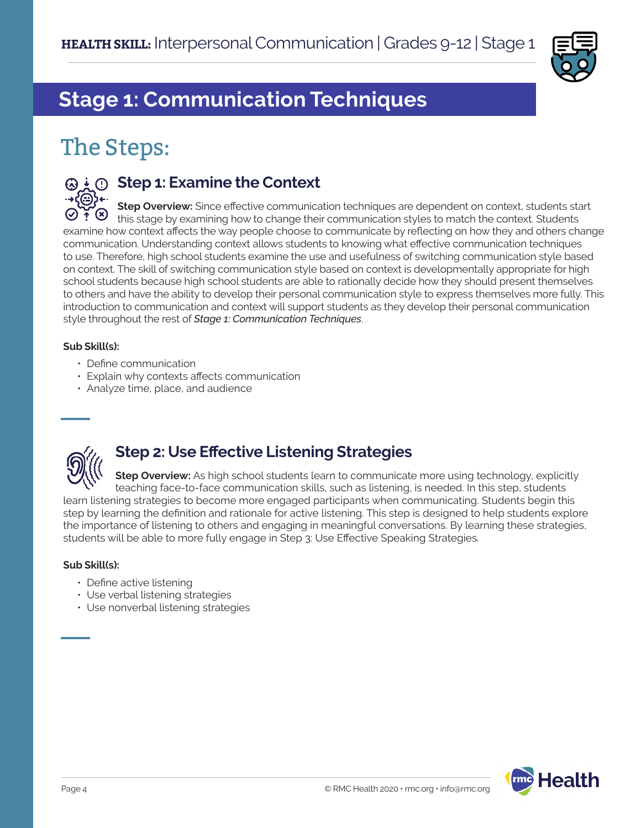

# **Stage 1: Communication Techniques**

# The Steps:



#### $\odot$  $\downarrow$  $\odot$  **Step 1: Examine the Context**

**Step Overview:** Since effective communication techniques are dependent on context, students start this stage by examining how to change their communication styles to match the context. Students examine how context affects the way people choose to communicate by reflecting on how they and others change communication. Understanding context allows students to knowing what effective communication techniques to use. Therefore, high school students examine the use and usefulness of switching communication style based on context. The skill of switching communication style based on context is developmentally appropriate for high school students because high school students are able to rationally decide how they should present themselves to others and have the ability to develop their personal communication style to express themselves more fully. This introduction to communication and context will support students as they develop their personal communication style throughout the rest of *Stage 1: Communication Techniques*.

#### **Sub Skill(s):**

- Define communication
- Explain why contexts affects communication
- Analyze time, place, and audience



## **Step 2: Use Effective Listening Strategies**

**Step Overview:** As high school students learn to communicate more using technology, explicitly teaching face-to-face communication skills, such as listening, is needed. In this step, students learn listening strategies to become more engaged participants when communicating. Students begin this step by learning the definition and rationale for active listening. This step is designed to help students explore the importance of listening to others and engaging in meaningful conversations. By learning these strategies, students will be able to more fully engage in Step 3: Use Effective Speaking Strategies*.* 

#### **Sub Skill(s):**

- Define active listening
- Use verbal listening strategies
- Use nonverbal listening strategies